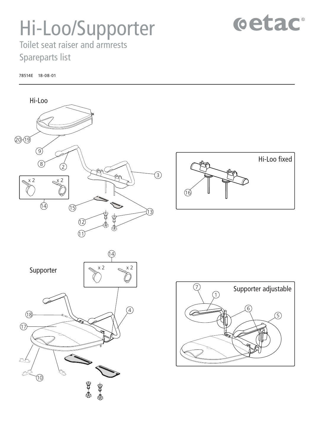## Hi-Loo/Supporter

## cetac

Toilet seat raiser and armrests Spareparts list

78514E 18-08-01



Hi-Loo fixed  $\widetilde{\mathcal{A}}$